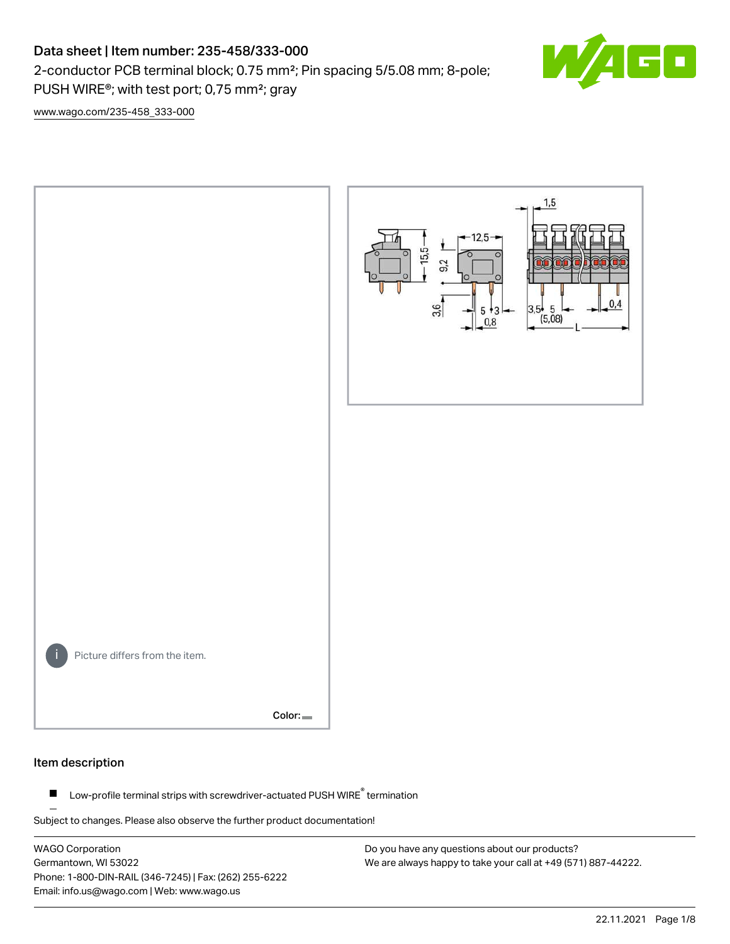# Data sheet | Item number: 235-458/333-000

2-conductor PCB terminal block; 0.75 mm²; Pin spacing 5/5.08 mm; 8-pole; PUSH WIRE®; with test port; 0,75 mm²; gray



[www.wago.com/235-458\\_333-000](http://www.wago.com/235-458_333-000)



#### Item description

Low-profile terminal strips with screwdriver-actuated PUSH WIRE® termination  $\blacksquare$ 

Subject to changes. Please also observe the further product documentation!

WAGO Corporation Germantown, WI 53022 Phone: 1-800-DIN-RAIL (346-7245) | Fax: (262) 255-6222 Email: info.us@wago.com | Web: www.wago.us

Do you have any questions about our products? We are always happy to take your call at +49 (571) 887-44222.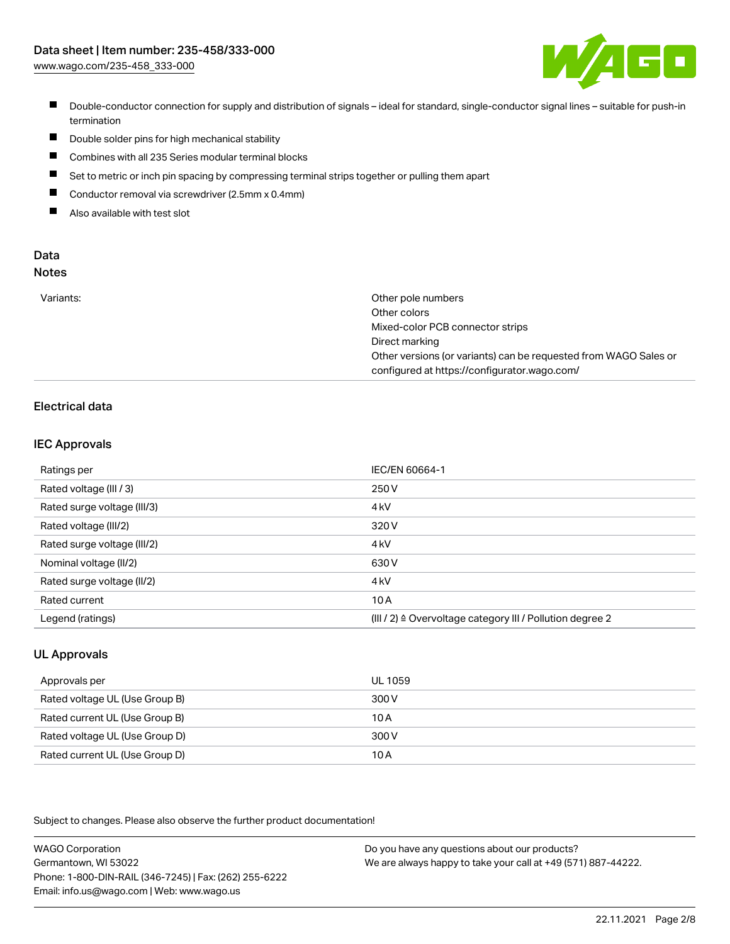

- Double-conductor connection for supply and distribution of signals ideal for standard, single-conductor signal lines suitable for push-in termination
- $\blacksquare$ Double solder pins for high mechanical stability
- $\blacksquare$ Combines with all 235 Series modular terminal blocks
- $\blacksquare$ Set to metric or inch pin spacing by compressing terminal strips together or pulling them apart
- $\blacksquare$ Conductor removal via screwdriver (2.5mm x 0.4mm)
- $\blacksquare$ Also available with test slot

#### Data Notes

| w<br>۰, | I<br>×<br>v<br>۹<br>٠ | ×<br>۰. |
|---------|-----------------------|---------|
|         |                       |         |

| Variants: | Other pole numbers                                               |
|-----------|------------------------------------------------------------------|
|           | Other colors                                                     |
|           | Mixed-color PCB connector strips                                 |
|           | Direct marking                                                   |
|           | Other versions (or variants) can be requested from WAGO Sales or |
|           | configured at https://configurator.wago.com/                     |

## Electrical data

#### IEC Approvals

| Ratings per                 | IEC/EN 60664-1                                                        |
|-----------------------------|-----------------------------------------------------------------------|
| Rated voltage (III / 3)     | 250 V                                                                 |
| Rated surge voltage (III/3) | 4 <sub>kV</sub>                                                       |
| Rated voltage (III/2)       | 320 V                                                                 |
| Rated surge voltage (III/2) | 4 <sub>kV</sub>                                                       |
| Nominal voltage (II/2)      | 630 V                                                                 |
| Rated surge voltage (II/2)  | 4 <sub>kV</sub>                                                       |
| Rated current               | 10A                                                                   |
| Legend (ratings)            | $(III / 2)$ $\triangle$ Overvoltage category III / Pollution degree 2 |

#### UL Approvals

| Approvals per                  | UL 1059 |
|--------------------------------|---------|
| Rated voltage UL (Use Group B) | 300 V   |
| Rated current UL (Use Group B) | 10 A    |
| Rated voltage UL (Use Group D) | 300 V   |
| Rated current UL (Use Group D) | 10 A    |

Subject to changes. Please also observe the further product documentation!

| <b>WAGO Corporation</b>                                | Do you have any questions about our products?                 |
|--------------------------------------------------------|---------------------------------------------------------------|
| Germantown, WI 53022                                   | We are always happy to take your call at +49 (571) 887-44222. |
| Phone: 1-800-DIN-RAIL (346-7245)   Fax: (262) 255-6222 |                                                               |
| Email: info.us@wago.com   Web: www.wago.us             |                                                               |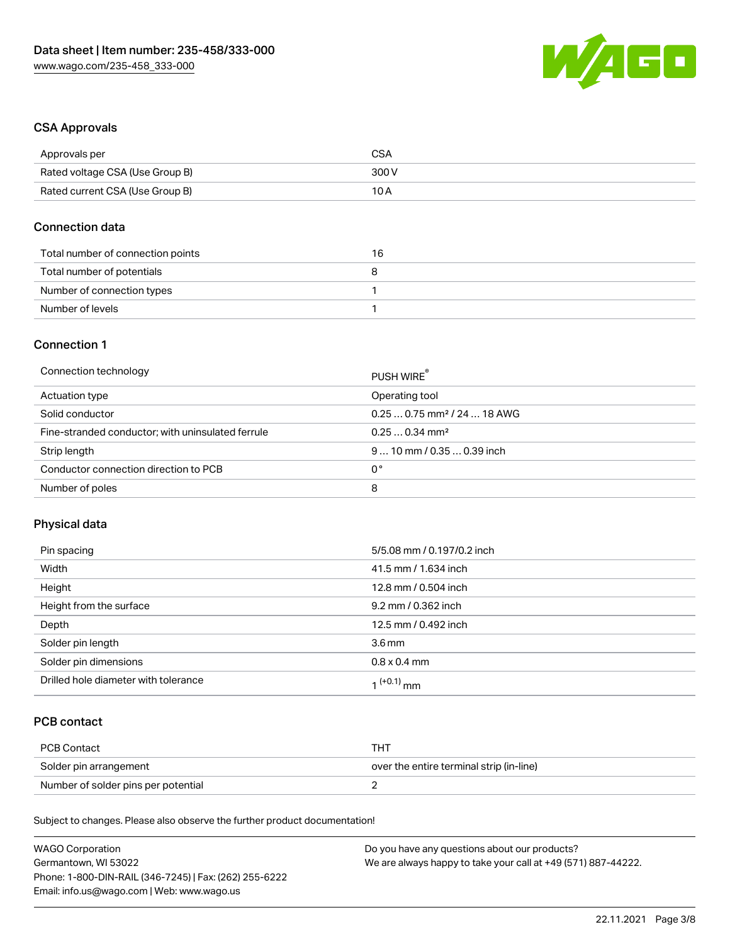

### CSA Approvals

| Approvals per                   | CSA   |
|---------------------------------|-------|
| Rated voltage CSA (Use Group B) | 300 V |
| Rated current CSA (Use Group B) | 10 A  |

#### Connection data

| Total number of connection points | 16 |
|-----------------------------------|----|
| Total number of potentials        |    |
| Number of connection types        |    |
| Number of levels                  |    |

#### Connection 1

| Connection technology                             | PUSH WIRE                               |
|---------------------------------------------------|-----------------------------------------|
| Actuation type                                    | Operating tool                          |
| Solid conductor                                   | $0.250.75$ mm <sup>2</sup> / 24  18 AWG |
| Fine-stranded conductor; with uninsulated ferrule | $0.250.34$ mm <sup>2</sup>              |
| Strip length                                      | $910$ mm $/0.350.39$ inch               |
| Conductor connection direction to PCB             | 0°                                      |
| Number of poles                                   | 8                                       |

## Physical data

| Pin spacing                          | 5/5.08 mm / 0.197/0.2 inch |
|--------------------------------------|----------------------------|
| Width                                | 41.5 mm / 1.634 inch       |
| Height                               | 12.8 mm / 0.504 inch       |
| Height from the surface              | 9.2 mm / 0.362 inch        |
| Depth                                | 12.5 mm / 0.492 inch       |
| Solder pin length                    | $3.6 \,\mathrm{mm}$        |
| Solder pin dimensions                | $0.8 \times 0.4$ mm        |
| Drilled hole diameter with tolerance | 1 <sup>(+0.1)</sup> mm     |

## PCB contact

| PCB Contact                         | TH .                                     |
|-------------------------------------|------------------------------------------|
| Solder pin arrangement              | over the entire terminal strip (in-line) |
| Number of solder pins per potential |                                          |

Subject to changes. Please also observe the further product documentation!

| <b>WAGO Corporation</b>                                | Do you have any questions about our products?                 |
|--------------------------------------------------------|---------------------------------------------------------------|
| Germantown, WI 53022                                   | We are always happy to take your call at +49 (571) 887-44222. |
| Phone: 1-800-DIN-RAIL (346-7245)   Fax: (262) 255-6222 |                                                               |
| Email: info.us@wago.com   Web: www.wago.us             |                                                               |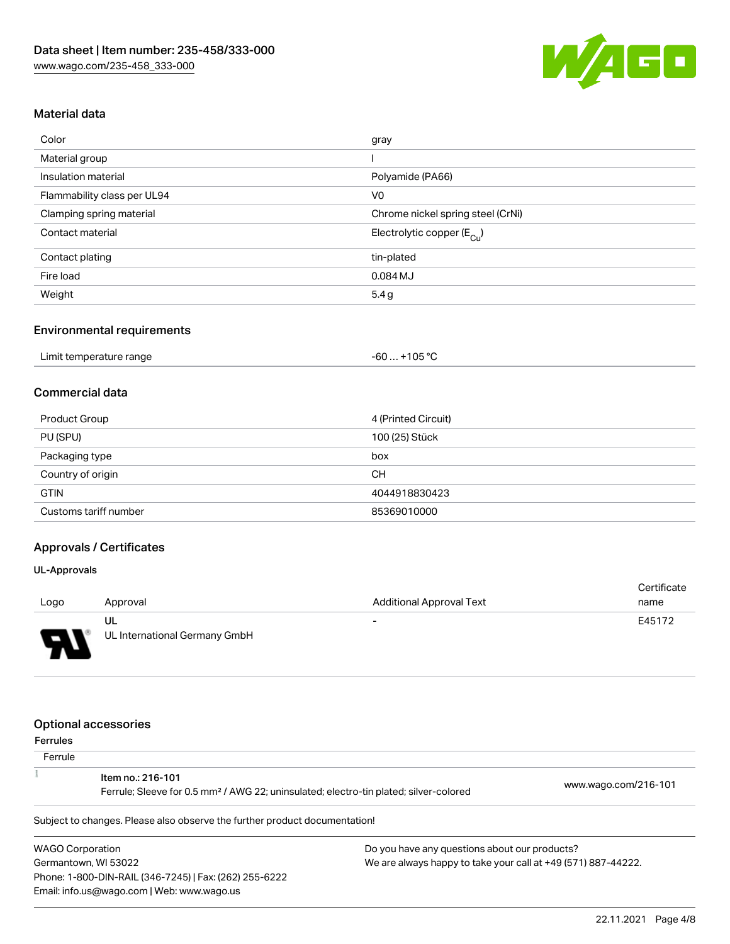

### Material data

| Color                       | gray                                  |
|-----------------------------|---------------------------------------|
| Material group              |                                       |
| Insulation material         | Polyamide (PA66)                      |
| Flammability class per UL94 | V <sub>0</sub>                        |
| Clamping spring material    | Chrome nickel spring steel (CrNi)     |
| Contact material            | Electrolytic copper $(E_{\text{Cl}})$ |
| Contact plating             | tin-plated                            |
| Fire load                   | 0.084 MJ                              |
| Weight                      | 5.4g                                  |

### Environmental requirements

| Limit temperature range | +105 °C<br>- 60 |  |
|-------------------------|-----------------|--|
|-------------------------|-----------------|--|

### Commercial data

| Product Group         | 4 (Printed Circuit) |
|-----------------------|---------------------|
| PU (SPU)              | 100 (25) Stück      |
| Packaging type        | box                 |
| Country of origin     | <b>CH</b>           |
| <b>GTIN</b>           | 4044918830423       |
| Customs tariff number | 85369010000         |

## Approvals / Certificates

#### UL-Approvals

|                          |                               |                          | Certificate |
|--------------------------|-------------------------------|--------------------------|-------------|
| Logo                     | Approval                      | Additional Approval Text | name        |
|                          | UL                            | $\overline{\phantom{0}}$ | E45172      |
| $\overline{\phantom{0}}$ | UL International Germany GmbH |                          |             |

### Optional accessories

Email: info.us@wago.com | Web: www.wago.us

| Ferrules |  |
|----------|--|
|----------|--|

| .<br>Ferrule            |                                                                                                                        |                                                               |                      |
|-------------------------|------------------------------------------------------------------------------------------------------------------------|---------------------------------------------------------------|----------------------|
|                         | Item no.: 216-101<br>Ferrule; Sleeve for 0.5 mm <sup>2</sup> / AWG 22; uninsulated; electro-tin plated; silver-colored |                                                               | www.wago.com/216-101 |
|                         | Subject to changes. Please also observe the further product documentation!                                             |                                                               |                      |
| <b>WAGO Corporation</b> |                                                                                                                        | Do you have any questions about our products?                 |                      |
| Germantown, WI 53022    |                                                                                                                        | We are always happy to take your call at +49 (571) 887-44222. |                      |
|                         | Phone: 1-800-DIN-RAIL (346-7245)   Fax: (262) 255-6222                                                                 |                                                               |                      |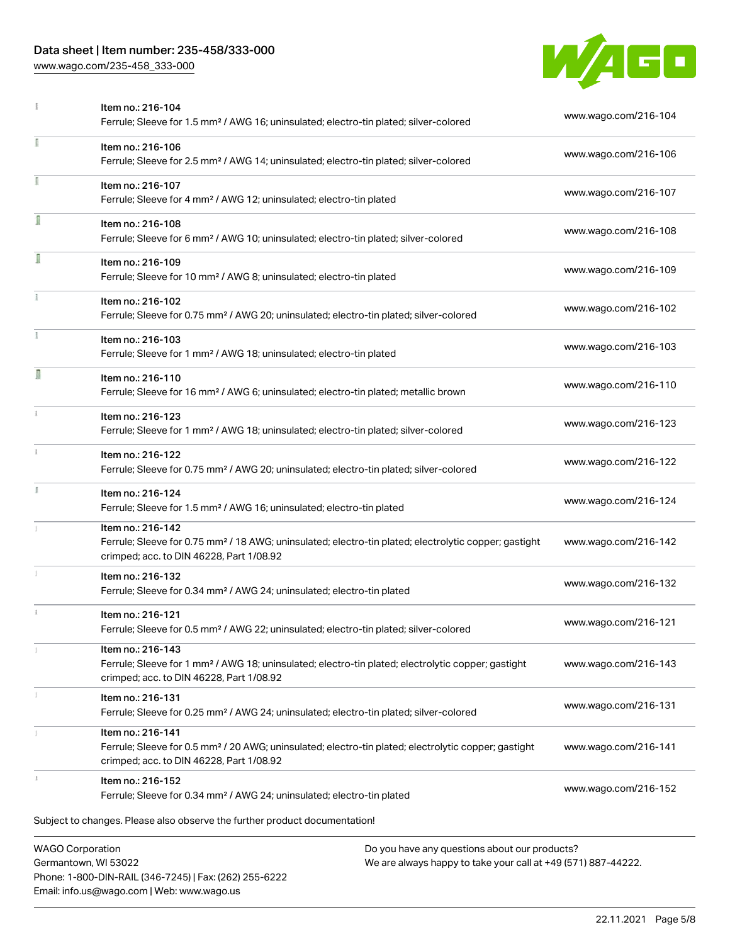## Data sheet | Item number: 235-458/333-000

Phone: 1-800-DIN-RAIL (346-7245) | Fax: (262) 255-6222

Email: info.us@wago.com | Web: www.wago.us

[www.wago.com/235-458\\_333-000](http://www.wago.com/235-458_333-000)



|                                                 | Item no.: 216-104<br>Ferrule; Sleeve for 1.5 mm <sup>2</sup> / AWG 16; uninsulated; electro-tin plated; silver-colored                                                             |                                                                                                                | www.wago.com/216-104 |
|-------------------------------------------------|------------------------------------------------------------------------------------------------------------------------------------------------------------------------------------|----------------------------------------------------------------------------------------------------------------|----------------------|
|                                                 | Item no.: 216-106<br>Ferrule; Sleeve for 2.5 mm <sup>2</sup> / AWG 14; uninsulated; electro-tin plated; silver-colored                                                             |                                                                                                                | www.wago.com/216-106 |
| I                                               | Item no.: 216-107<br>Ferrule; Sleeve for 4 mm <sup>2</sup> / AWG 12; uninsulated; electro-tin plated                                                                               |                                                                                                                | www.wago.com/216-107 |
|                                                 | Item no.: 216-108<br>Ferrule; Sleeve for 6 mm <sup>2</sup> / AWG 10; uninsulated; electro-tin plated; silver-colored                                                               |                                                                                                                | www.wago.com/216-108 |
| I                                               | Item no.: 216-109<br>Ferrule; Sleeve for 10 mm <sup>2</sup> / AWG 8; uninsulated; electro-tin plated                                                                               |                                                                                                                | www.wago.com/216-109 |
| Ĭ.                                              | Item no.: 216-102<br>Ferrule; Sleeve for 0.75 mm <sup>2</sup> / AWG 20; uninsulated; electro-tin plated; silver-colored                                                            |                                                                                                                | www.wago.com/216-102 |
|                                                 | Item no.: 216-103<br>Ferrule; Sleeve for 1 mm <sup>2</sup> / AWG 18; uninsulated; electro-tin plated                                                                               |                                                                                                                | www.wago.com/216-103 |
| Ī                                               | Item no.: 216-110<br>Ferrule; Sleeve for 16 mm <sup>2</sup> / AWG 6; uninsulated; electro-tin plated; metallic brown                                                               |                                                                                                                | www.wago.com/216-110 |
| î.                                              | Item no.: 216-123<br>Ferrule; Sleeve for 1 mm <sup>2</sup> / AWG 18; uninsulated; electro-tin plated; silver-colored                                                               |                                                                                                                | www.wago.com/216-123 |
|                                                 | Item no.: 216-122<br>Ferrule; Sleeve for 0.75 mm <sup>2</sup> / AWG 20; uninsulated; electro-tin plated; silver-colored                                                            |                                                                                                                | www.wago.com/216-122 |
| I                                               | Item no.: 216-124<br>Ferrule; Sleeve for 1.5 mm <sup>2</sup> / AWG 16; uninsulated; electro-tin plated                                                                             |                                                                                                                | www.wago.com/216-124 |
|                                                 | Item no.: 216-142<br>Ferrule; Sleeve for 0.75 mm <sup>2</sup> / 18 AWG; uninsulated; electro-tin plated; electrolytic copper; gastight<br>crimped; acc. to DIN 46228, Part 1/08.92 |                                                                                                                | www.wago.com/216-142 |
|                                                 | Item no.: 216-132<br>Ferrule; Sleeve for 0.34 mm <sup>2</sup> / AWG 24; uninsulated; electro-tin plated                                                                            |                                                                                                                | www.wago.com/216-132 |
| i.                                              | Item no.: 216-121<br>Ferrule; Sleeve for 0.5 mm <sup>2</sup> / AWG 22; uninsulated; electro-tin plated; silver-colored                                                             |                                                                                                                | www.wago.com/216-121 |
|                                                 | Item no.: 216-143<br>Ferrule; Sleeve for 1 mm <sup>2</sup> / AWG 18; uninsulated; electro-tin plated; electrolytic copper; gastight<br>crimped; acc. to DIN 46228, Part 1/08.92    |                                                                                                                | www.wago.com/216-143 |
|                                                 | Item no.: 216-131<br>Ferrule; Sleeve for 0.25 mm <sup>2</sup> / AWG 24; uninsulated; electro-tin plated; silver-colored                                                            |                                                                                                                | www.wago.com/216-131 |
|                                                 | Item no.: 216-141<br>Ferrule; Sleeve for 0.5 mm <sup>2</sup> / 20 AWG; uninsulated; electro-tin plated; electrolytic copper; gastight<br>crimped; acc. to DIN 46228, Part 1/08.92  |                                                                                                                | www.wago.com/216-141 |
|                                                 | Item no.: 216-152<br>Ferrule; Sleeve for 0.34 mm <sup>2</sup> / AWG 24; uninsulated; electro-tin plated                                                                            |                                                                                                                | www.wago.com/216-152 |
|                                                 | Subject to changes. Please also observe the further product documentation!                                                                                                         |                                                                                                                |                      |
| <b>WAGO Corporation</b><br>Germantown, WI 53022 |                                                                                                                                                                                    | Do you have any questions about our products?<br>We are always happy to take your call at +49 (571) 887-44222. |                      |

22.11.2021 Page 5/8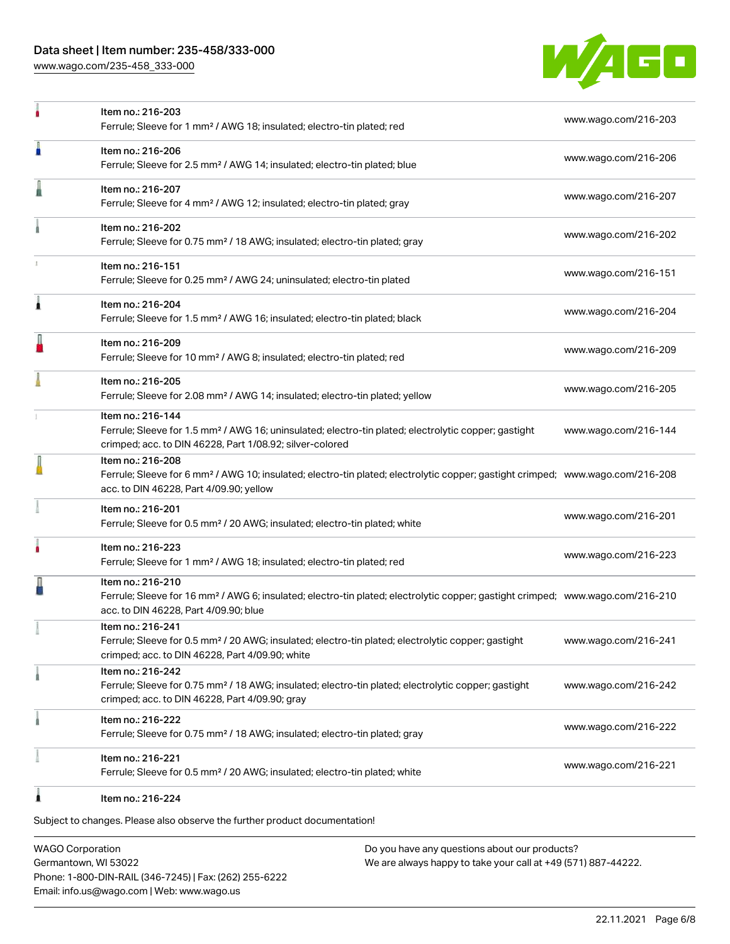### Data sheet | Item number: 235-458/333-000

[www.wago.com/235-458\\_333-000](http://www.wago.com/235-458_333-000)



|   | Item no.: 216-203<br>Ferrule; Sleeve for 1 mm <sup>2</sup> / AWG 18; insulated; electro-tin plated; red                                                                                                    | www.wago.com/216-203 |
|---|------------------------------------------------------------------------------------------------------------------------------------------------------------------------------------------------------------|----------------------|
| п | Item no.: 216-206<br>Ferrule; Sleeve for 2.5 mm <sup>2</sup> / AWG 14; insulated; electro-tin plated; blue                                                                                                 | www.wago.com/216-206 |
|   | Item no.: 216-207<br>Ferrule; Sleeve for 4 mm <sup>2</sup> / AWG 12; insulated; electro-tin plated; gray                                                                                                   | www.wago.com/216-207 |
|   | Item no.: 216-202<br>Ferrule; Sleeve for 0.75 mm <sup>2</sup> / 18 AWG; insulated; electro-tin plated; gray                                                                                                | www.wago.com/216-202 |
|   | Item no.: 216-151<br>Ferrule; Sleeve for 0.25 mm <sup>2</sup> / AWG 24; uninsulated; electro-tin plated                                                                                                    | www.wago.com/216-151 |
| Â | Item no.: 216-204<br>Ferrule; Sleeve for 1.5 mm <sup>2</sup> / AWG 16; insulated; electro-tin plated; black                                                                                                | www.wago.com/216-204 |
|   | Item no.: 216-209<br>Ferrule; Sleeve for 10 mm <sup>2</sup> / AWG 8; insulated; electro-tin plated; red                                                                                                    | www.wago.com/216-209 |
|   | Item no.: 216-205<br>Ferrule; Sleeve for 2.08 mm <sup>2</sup> / AWG 14; insulated; electro-tin plated; yellow                                                                                              | www.wago.com/216-205 |
|   | Item no.: 216-144<br>Ferrule; Sleeve for 1.5 mm <sup>2</sup> / AWG 16; uninsulated; electro-tin plated; electrolytic copper; gastight<br>crimped; acc. to DIN 46228, Part 1/08.92; silver-colored          | www.wago.com/216-144 |
|   | Item no.: 216-208<br>Ferrule; Sleeve for 6 mm <sup>2</sup> / AWG 10; insulated; electro-tin plated; electrolytic copper; gastight crimped; www.wago.com/216-208<br>acc. to DIN 46228, Part 4/09.90; yellow |                      |
|   | Item no.: 216-201<br>Ferrule; Sleeve for 0.5 mm <sup>2</sup> / 20 AWG; insulated; electro-tin plated; white                                                                                                | www.wago.com/216-201 |
| ۸ | Item no.: 216-223<br>Ferrule; Sleeve for 1 mm <sup>2</sup> / AWG 18; insulated; electro-tin plated; red                                                                                                    | www.wago.com/216-223 |
|   | Item no.: 216-210<br>Ferrule; Sleeve for 16 mm <sup>2</sup> / AWG 6; insulated; electro-tin plated; electrolytic copper; gastight crimped; www.wago.com/216-210<br>acc. to DIN 46228, Part 4/09.90; blue   |                      |
|   | Item no.: 216-241<br>Ferrule; Sleeve for 0.5 mm <sup>2</sup> / 20 AWG; insulated; electro-tin plated; electrolytic copper; gastight<br>crimped; acc. to DIN 46228, Part 4/09.90; white                     | www.wago.com/216-241 |
|   | Item no.: 216-242<br>Ferrule; Sleeve for 0.75 mm <sup>2</sup> / 18 AWG; insulated; electro-tin plated; electrolytic copper; gastight<br>crimped; acc. to DIN 46228, Part 4/09.90; gray                     | www.wago.com/216-242 |
|   | Item no.: 216-222<br>Ferrule; Sleeve for 0.75 mm <sup>2</sup> / 18 AWG; insulated; electro-tin plated; gray                                                                                                | www.wago.com/216-222 |
|   | Item no.: 216-221<br>Ferrule; Sleeve for 0.5 mm <sup>2</sup> / 20 AWG; insulated; electro-tin plated; white                                                                                                | www.wago.com/216-221 |
|   | Item no.: 216-224                                                                                                                                                                                          |                      |

Subject to changes. Please also observe the further product documentation!

WAGO Corporation Germantown, WI 53022 Phone: 1-800-DIN-RAIL (346-7245) | Fax: (262) 255-6222 Email: info.us@wago.com | Web: www.wago.us

Do you have any questions about our products? We are always happy to take your call at +49 (571) 887-44222.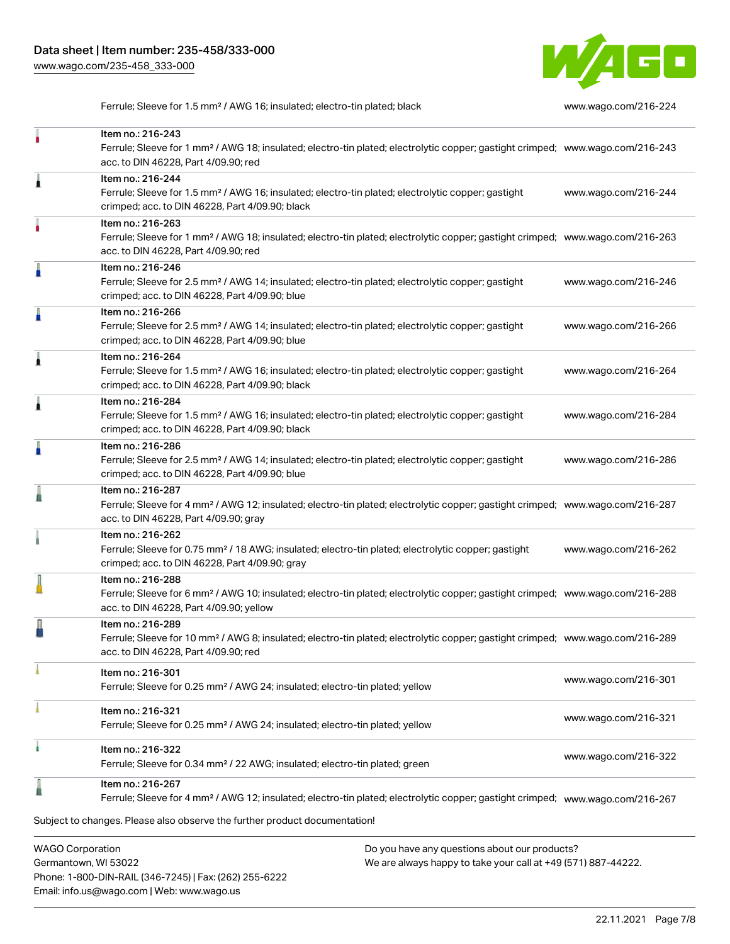

Ferrule; Sleeve for 1.5 mm<sup>2</sup> / AWG 16; insulated; electro-tin plated; black [www.wago.com/216-224](http://www.wago.com/216-224)

| <b>WAGO Corporation</b> |                                                                                                                                                                                                            | Do you have any questions about our products? |                      |
|-------------------------|------------------------------------------------------------------------------------------------------------------------------------------------------------------------------------------------------------|-----------------------------------------------|----------------------|
|                         | Subject to changes. Please also observe the further product documentation!                                                                                                                                 |                                               |                      |
|                         | Item no.: 216-267<br>Ferrule; Sleeve for 4 mm <sup>2</sup> / AWG 12; insulated; electro-tin plated; electrolytic copper; gastight crimped; www.wago.com/216-267                                            |                                               |                      |
|                         | Item no.: 216-322<br>Ferrule; Sleeve for 0.34 mm <sup>2</sup> / 22 AWG; insulated; electro-tin plated; green                                                                                               |                                               | www.wago.com/216-322 |
|                         | Item no.: 216-321<br>Ferrule; Sleeve for 0.25 mm <sup>2</sup> / AWG 24; insulated; electro-tin plated; yellow                                                                                              |                                               | www.wago.com/216-321 |
|                         | Item no.: 216-301<br>Ferrule; Sleeve for 0.25 mm <sup>2</sup> / AWG 24; insulated; electro-tin plated; yellow                                                                                              |                                               | www.wago.com/216-301 |
|                         | Item no.: 216-289<br>Ferrule; Sleeve for 10 mm <sup>2</sup> / AWG 8; insulated; electro-tin plated; electrolytic copper; gastight crimped; www.wago.com/216-289<br>acc. to DIN 46228, Part 4/09.90; red    |                                               |                      |
|                         | Item no.: 216-288<br>Ferrule; Sleeve for 6 mm <sup>2</sup> / AWG 10; insulated; electro-tin plated; electrolytic copper; gastight crimped; www.wago.com/216-288<br>acc. to DIN 46228, Part 4/09.90; yellow |                                               |                      |
|                         | Item no.: 216-262<br>Ferrule; Sleeve for 0.75 mm <sup>2</sup> / 18 AWG; insulated; electro-tin plated; electrolytic copper; gastight<br>crimped; acc. to DIN 46228, Part 4/09.90; gray                     |                                               | www.wago.com/216-262 |
|                         | Item no.: 216-287<br>Ferrule; Sleeve for 4 mm <sup>2</sup> / AWG 12; insulated; electro-tin plated; electrolytic copper; gastight crimped; www.wago.com/216-287<br>acc. to DIN 46228, Part 4/09.90; gray   |                                               |                      |
|                         | Item no.: 216-286<br>Ferrule; Sleeve for 2.5 mm <sup>2</sup> / AWG 14; insulated; electro-tin plated; electrolytic copper; gastight<br>crimped; acc. to DIN 46228, Part 4/09.90; blue                      |                                               | www.wago.com/216-286 |
|                         | Item no.: 216-284<br>Ferrule; Sleeve for 1.5 mm <sup>2</sup> / AWG 16; insulated; electro-tin plated; electrolytic copper; gastight<br>crimped; acc. to DIN 46228, Part 4/09.90; black                     |                                               | www.wago.com/216-284 |
|                         | Item no.: 216-264<br>Ferrule; Sleeve for 1.5 mm <sup>2</sup> / AWG 16; insulated; electro-tin plated; electrolytic copper; gastight<br>crimped; acc. to DIN 46228, Part 4/09.90; black                     |                                               | www.wago.com/216-264 |
|                         | Item no.: 216-266<br>Ferrule; Sleeve for 2.5 mm <sup>2</sup> / AWG 14; insulated; electro-tin plated; electrolytic copper; gastight<br>crimped; acc. to DIN 46228, Part 4/09.90; blue                      |                                               | www.wago.com/216-266 |
|                         | Item no.: 216-246<br>Ferrule; Sleeve for 2.5 mm <sup>2</sup> / AWG 14; insulated; electro-tin plated; electrolytic copper; gastight<br>crimped; acc. to DIN 46228, Part 4/09.90; blue                      |                                               | www.wago.com/216-246 |
|                         | Item no.: 216-263<br>Ferrule; Sleeve for 1 mm <sup>2</sup> / AWG 18; insulated; electro-tin plated; electrolytic copper; gastight crimped; www.wago.com/216-263<br>acc. to DIN 46228, Part 4/09.90; red    |                                               |                      |
| 1                       | Item no.: 216-244<br>Ferrule; Sleeve for 1.5 mm <sup>2</sup> / AWG 16; insulated; electro-tin plated; electrolytic copper; gastight<br>crimped; acc. to DIN 46228, Part 4/09.90; black                     |                                               | www.wago.com/216-244 |
|                         | Item no.: 216-243<br>Ferrule; Sleeve for 1 mm <sup>2</sup> / AWG 18; insulated; electro-tin plated; electrolytic copper; gastight crimped; www.wago.com/216-243<br>acc. to DIN 46228, Part 4/09.90; red    |                                               |                      |

Germantown, WI 53022 Phone: 1-800-DIN-RAIL (346-7245) | Fax: (262) 255-6222 Email: info.us@wago.com | Web: www.wago.us

We are always happy to take your call at +49 (571) 887-44222.